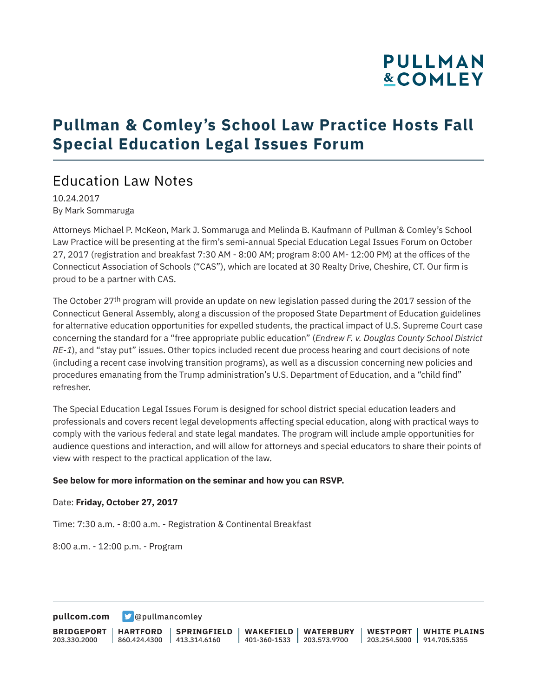# **PULLMAN &COMLEY**

## **Pullman & Comley's School Law Practice Hosts Fall Special Education Legal Issues Forum**

### Education Law Notes

10.24.2017 By Mark Sommaruga

Attorneys Michael P. McKeon, Mark J. Sommaruga and Melinda B. Kaufmann of Pullman & Comley's School Law Practice will be presenting at the firm's semi-annual Special Education Legal Issues Forum on October 27, 2017 (registration and breakfast 7:30 AM - 8:00 AM; program 8:00 AM- 12:00 PM) at the offices of the Connecticut Association of Schools ("CAS"), which are located at 30 Realty Drive, Cheshire, CT. Our firm is proud to be a partner with CAS.

The October 27<sup>th</sup> program will provide an update on new legislation passed during the 2017 session of the Connecticut General Assembly, along a discussion of the proposed State Department of Education guidelines for alternative education opportunities for expelled students, the practical impact of U.S. Supreme Court case concerning the standard for a "free appropriate public education" (*Endrew F. v. Douglas County School District RE-1*), and "stay put" issues. Other topics included recent due process hearing and court decisions of note (including a recent case involving transition programs), as well as a discussion concerning new policies and procedures emanating from the Trump administration's U.S. Department of Education, and a "child find" refresher.

The Special Education Legal Issues Forum is designed for school district special education leaders and professionals and covers recent legal developments affecting special education, along with practical ways to comply with the various federal and state legal mandates. The program will include ample opportunities for audience questions and interaction, and will allow for attorneys and special educators to share their points of view with respect to the practical application of the law.

#### **See below for more information on the seminar and how you can RSVP.**

#### Date: **Friday, October 27, 2017**

Time: 7:30 a.m. - 8:00 a.m. - Registration & Continental Breakfast

8:00 a.m. - 12:00 p.m. - Program

**[pullcom.com](https://www.pullcom.com) g** [@pullmancomley](https://twitter.com/PullmanComley)